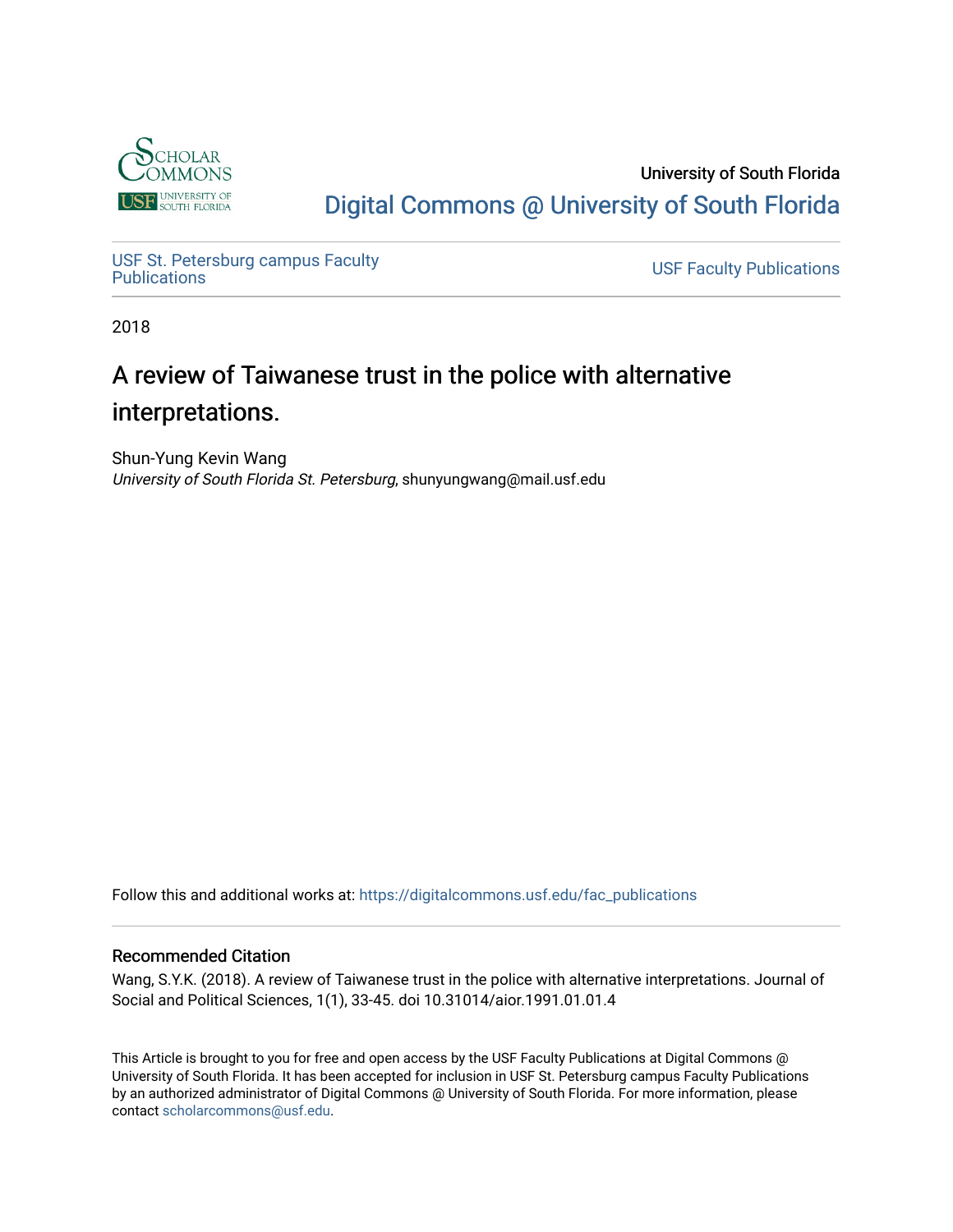

University of South Florida [Digital Commons @ University of South Florida](https://digitalcommons.usf.edu/) 

USF St. Petersburg campus Faculty<br>Publications

**USF Faculty Publications** 

2018

# A review of Taiwanese trust in the police with alternative interpretations.

Shun-Yung Kevin Wang University of South Florida St. Petersburg, shunyungwang@mail.usf.edu

Follow this and additional works at: [https://digitalcommons.usf.edu/fac\\_publications](https://digitalcommons.usf.edu/fac_publications?utm_source=digitalcommons.usf.edu%2Ffac_publications%2F3527&utm_medium=PDF&utm_campaign=PDFCoverPages)

#### Recommended Citation

Wang, S.Y.K. (2018). A review of Taiwanese trust in the police with alternative interpretations. Journal of Social and Political Sciences, 1(1), 33-45. doi 10.31014/aior.1991.01.01.4

This Article is brought to you for free and open access by the USF Faculty Publications at Digital Commons @ University of South Florida. It has been accepted for inclusion in USF St. Petersburg campus Faculty Publications by an authorized administrator of Digital Commons @ University of South Florida. For more information, please contact [scholarcommons@usf.edu](mailto:scholarcommons@usf.edu).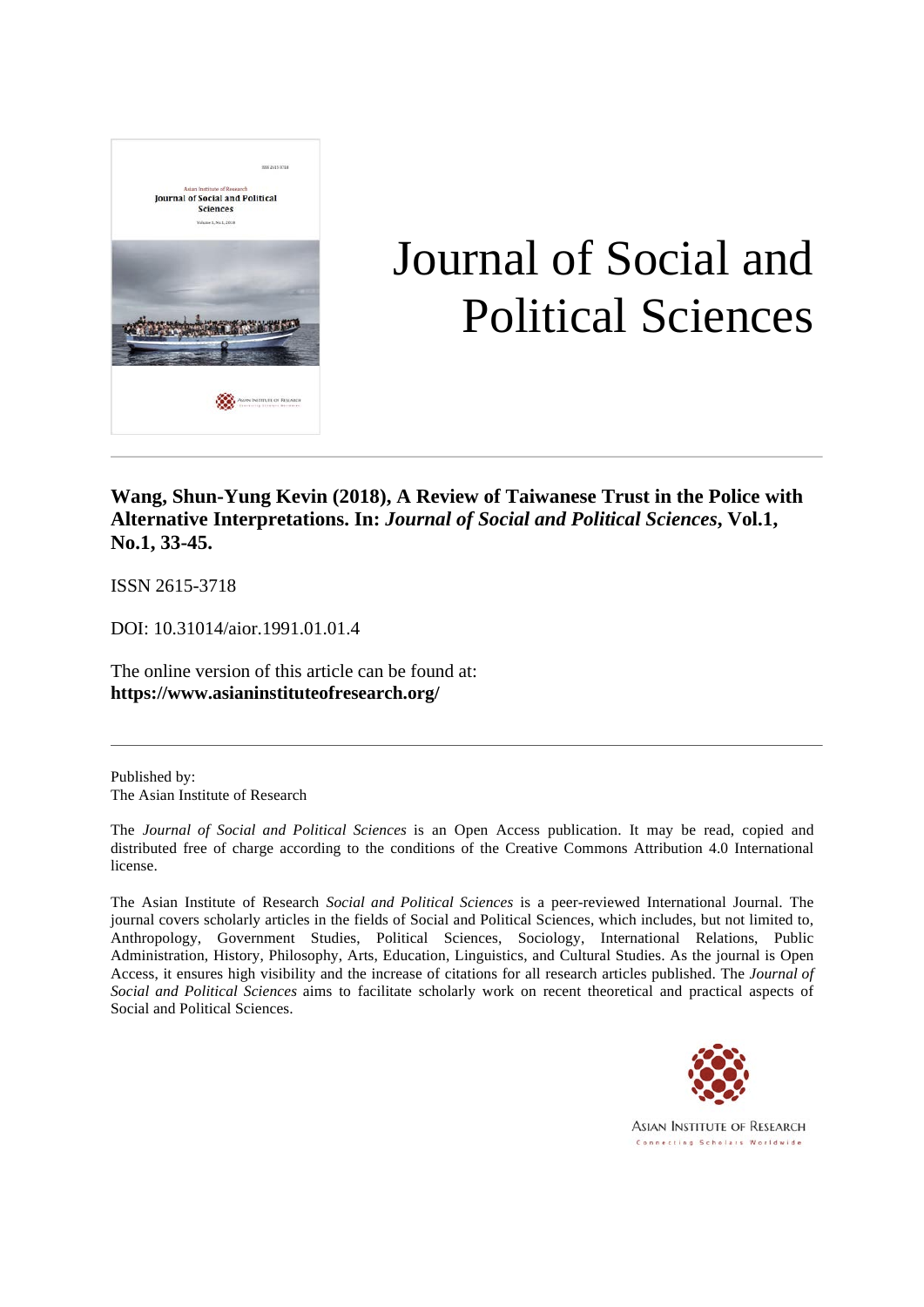

# Journal of Social and Political Sciences

**Wang, Shun-Yung Kevin (2018), A Review of Taiwanese Trust in the Police with Alternative Interpretations. In:** *Journal of Social and Political Sciences***, Vol.1, No.1, 33-45.**

ISSN 2615-3718

DOI: 10.31014/aior.1991.01.01.4

The online version of this article can be found at: **https://www.asianinstituteofresearch.org/**

Published by: The Asian Institute of Research

The *Journal of Social and Political Sciences* is an Open Access publication. It may be read, copied and distributed free of charge according to the conditions of the Creative Commons Attribution 4.0 International license.

The Asian Institute of Research *Social and Political Sciences* is a peer-reviewed International Journal. The journal covers scholarly articles in the fields of Social and Political Sciences, which includes, but not limited to, Anthropology, Government Studies, Political Sciences, Sociology, International Relations, Public Administration, History, Philosophy, Arts, Education, Linguistics, and Cultural Studies. As the journal is Open Access, it ensures high visibility and the increase of citations for all research articles published. The *Journal of Social and Political Sciences* aims to facilitate scholarly work on recent theoretical and practical aspects of Social and Political Sciences.



**ASIAN INSTITUTE OF RESEARCH** Connecting Scholars Worldwide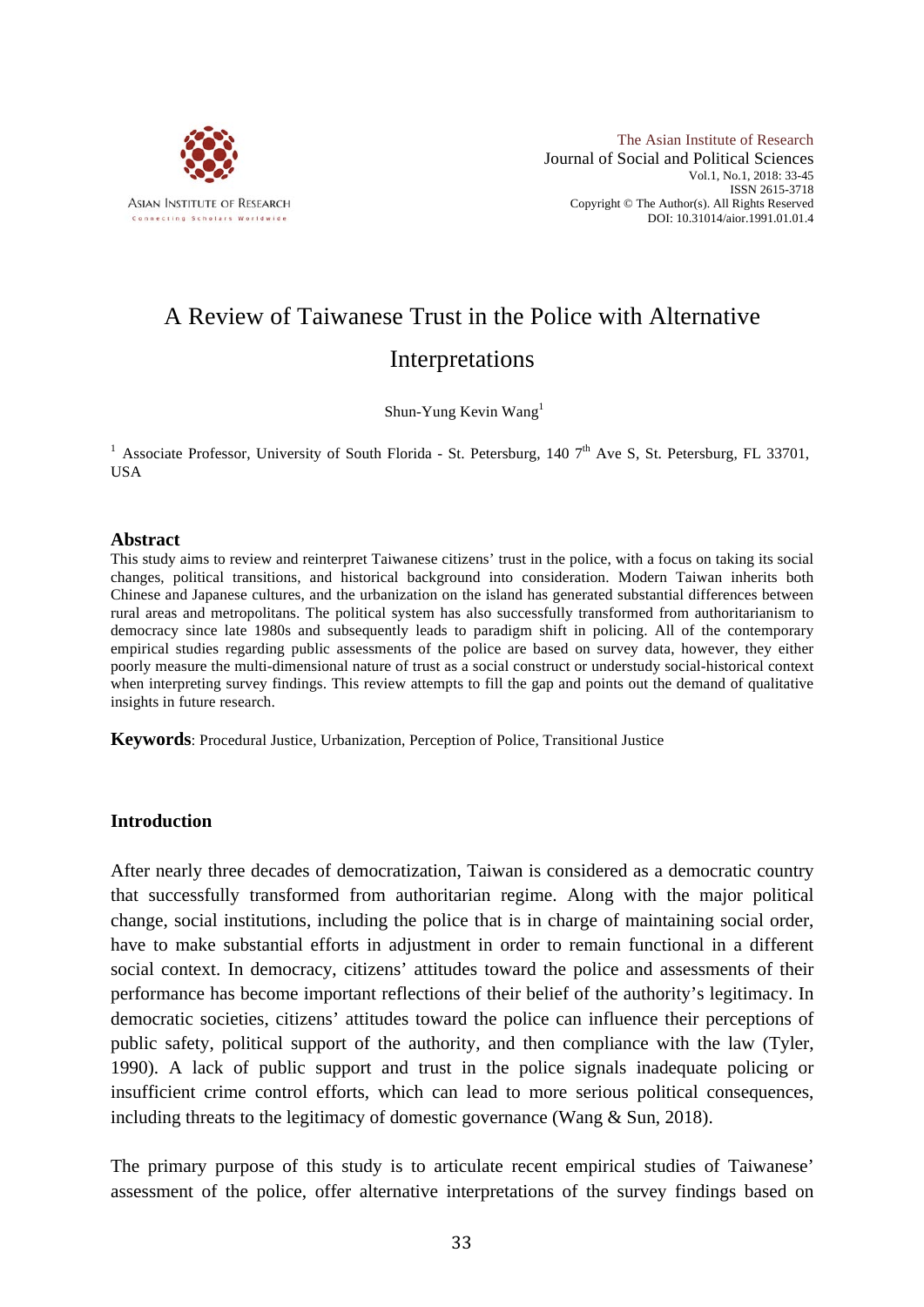

# A Review of Taiwanese Trust in the Police with Alternative Interpretations

Shun-Yung Kevin Wang<sup>1</sup>

<sup>1</sup> Associate Professor, University of South Florida - St. Petersburg, 140 7<sup>th</sup> Ave S, St. Petersburg, FL 33701, **IISA** 

#### **Abstract**

This study aims to review and reinterpret Taiwanese citizens' trust in the police, with a focus on taking its social changes, political transitions, and historical background into consideration. Modern Taiwan inherits both Chinese and Japanese cultures, and the urbanization on the island has generated substantial differences between rural areas and metropolitans. The political system has also successfully transformed from authoritarianism to democracy since late 1980s and subsequently leads to paradigm shift in policing. All of the contemporary empirical studies regarding public assessments of the police are based on survey data, however, they either poorly measure the multi-dimensional nature of trust as a social construct or understudy social-historical context when interpreting survey findings. This review attempts to fill the gap and points out the demand of qualitative insights in future research.

**Keywords**: Procedural Justice, Urbanization, Perception of Police, Transitional Justice

#### **Introduction**

After nearly three decades of democratization, Taiwan is considered as a democratic country that successfully transformed from authoritarian regime. Along with the major political change, social institutions, including the police that is in charge of maintaining social order, have to make substantial efforts in adjustment in order to remain functional in a different social context. In democracy, citizens' attitudes toward the police and assessments of their performance has become important reflections of their belief of the authority's legitimacy. In democratic societies, citizens' attitudes toward the police can influence their perceptions of public safety, political support of the authority, and then compliance with the law (Tyler, 1990). A lack of public support and trust in the police signals inadequate policing or insufficient crime control efforts, which can lead to more serious political consequences, including threats to the legitimacy of domestic governance (Wang & Sun, 2018).

The primary purpose of this study is to articulate recent empirical studies of Taiwanese' assessment of the police, offer alternative interpretations of the survey findings based on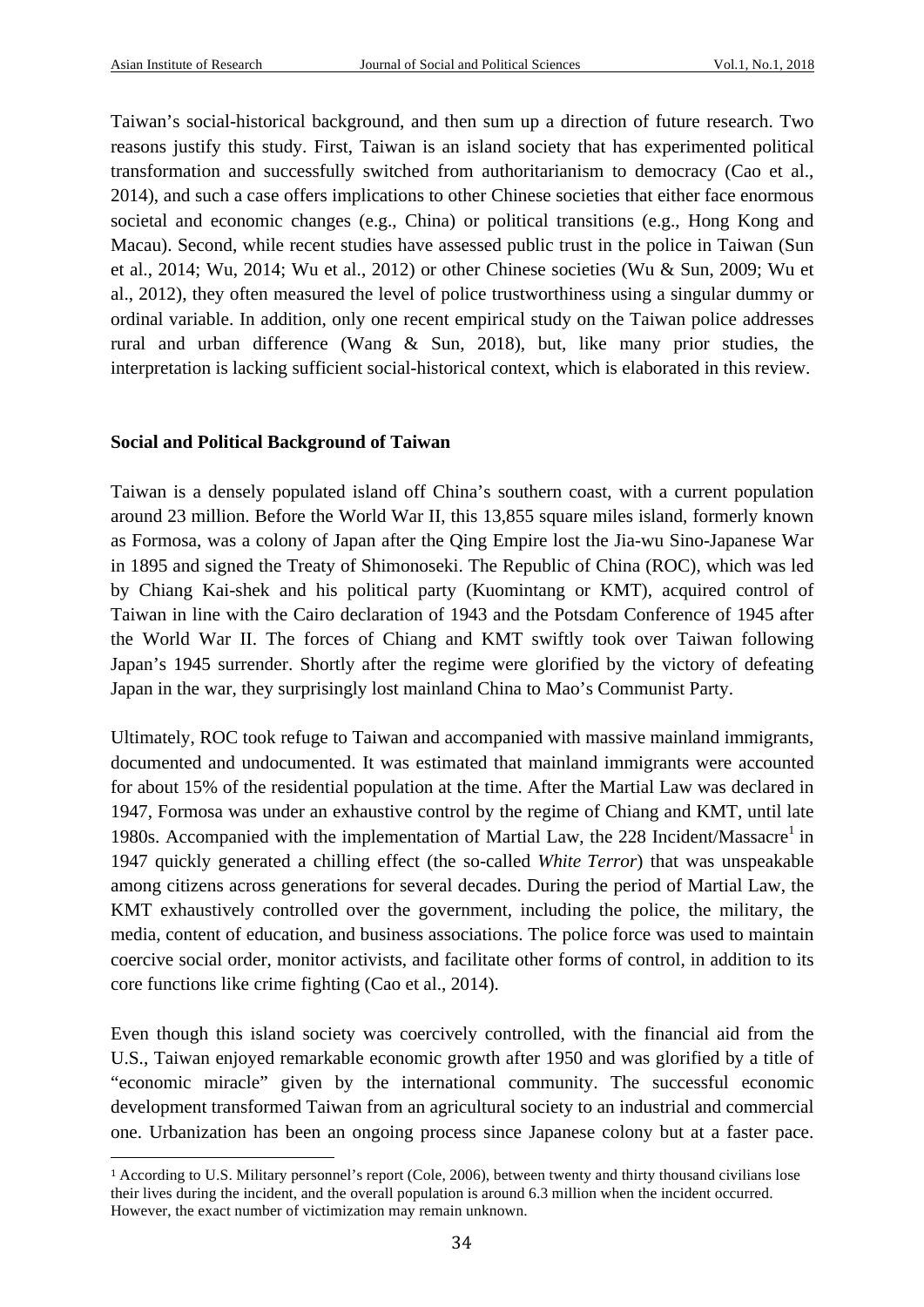Taiwan's social-historical background, and then sum up a direction of future research. Two reasons justify this study. First, Taiwan is an island society that has experimented political transformation and successfully switched from authoritarianism to democracy (Cao et al., 2014), and such a case offers implications to other Chinese societies that either face enormous societal and economic changes (e.g., China) or political transitions (e.g., Hong Kong and Macau). Second, while recent studies have assessed public trust in the police in Taiwan (Sun et al., 2014; Wu, 2014; Wu et al., 2012) or other Chinese societies (Wu & Sun, 2009; Wu et al., 2012), they often measured the level of police trustworthiness using a singular dummy or ordinal variable. In addition, only one recent empirical study on the Taiwan police addresses rural and urban difference (Wang & Sun, 2018), but, like many prior studies, the interpretation is lacking sufficient social-historical context, which is elaborated in this review.

## **Social and Political Background of Taiwan**

 

Taiwan is a densely populated island off China's southern coast, with a current population around 23 million. Before the World War II, this 13,855 square miles island, formerly known as Formosa, was a colony of Japan after the Qing Empire lost the Jia-wu Sino-Japanese War in 1895 and signed the Treaty of Shimonoseki. The Republic of China (ROC), which was led by Chiang Kai-shek and his political party (Kuomintang or KMT), acquired control of Taiwan in line with the Cairo declaration of 1943 and the Potsdam Conference of 1945 after the World War II. The forces of Chiang and KMT swiftly took over Taiwan following Japan's 1945 surrender. Shortly after the regime were glorified by the victory of defeating Japan in the war, they surprisingly lost mainland China to Mao's Communist Party.

Ultimately, ROC took refuge to Taiwan and accompanied with massive mainland immigrants, documented and undocumented. It was estimated that mainland immigrants were accounted for about 15% of the residential population at the time. After the Martial Law was declared in 1947, Formosa was under an exhaustive control by the regime of Chiang and KMT, until late 1980s. Accompanied with the implementation of Martial Law, the  $228$  Incident/Massacre<sup>1</sup> in 1947 quickly generated a chilling effect (the so-called *White Terror*) that was unspeakable among citizens across generations for several decades. During the period of Martial Law, the KMT exhaustively controlled over the government, including the police, the military, the media, content of education, and business associations. The police force was used to maintain coercive social order, monitor activists, and facilitate other forms of control, in addition to its core functions like crime fighting (Cao et al., 2014).

Even though this island society was coercively controlled, with the financial aid from the U.S., Taiwan enjoyed remarkable economic growth after 1950 and was glorified by a title of "economic miracle" given by the international community. The successful economic development transformed Taiwan from an agricultural society to an industrial and commercial one. Urbanization has been an ongoing process since Japanese colony but at a faster pace.

<sup>1</sup> According to U.S. Military personnel's report (Cole, 2006), between twenty and thirty thousand civilians lose their lives during the incident, and the overall population is around 6.3 million when the incident occurred. However, the exact number of victimization may remain unknown.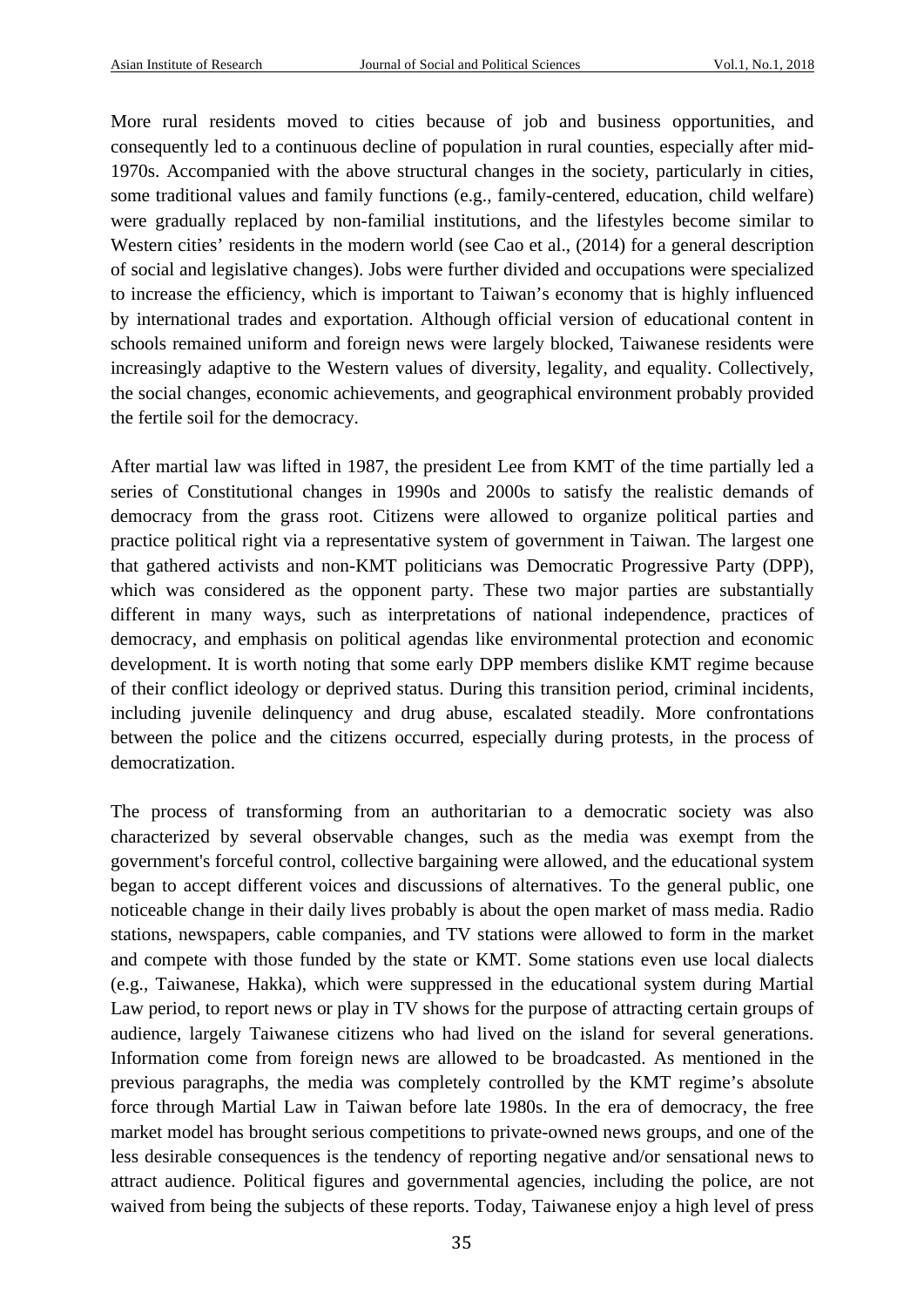More rural residents moved to cities because of job and business opportunities, and consequently led to a continuous decline of population in rural counties, especially after mid-1970s. Accompanied with the above structural changes in the society, particularly in cities, some traditional values and family functions (e.g., family-centered, education, child welfare) were gradually replaced by non-familial institutions, and the lifestyles become similar to Western cities' residents in the modern world (see Cao et al., (2014) for a general description of social and legislative changes). Jobs were further divided and occupations were specialized to increase the efficiency, which is important to Taiwan's economy that is highly influenced by international trades and exportation. Although official version of educational content in schools remained uniform and foreign news were largely blocked, Taiwanese residents were increasingly adaptive to the Western values of diversity, legality, and equality. Collectively, the social changes, economic achievements, and geographical environment probably provided the fertile soil for the democracy.

After martial law was lifted in 1987, the president Lee from KMT of the time partially led a series of Constitutional changes in 1990s and 2000s to satisfy the realistic demands of democracy from the grass root. Citizens were allowed to organize political parties and practice political right via a representative system of government in Taiwan. The largest one that gathered activists and non-KMT politicians was Democratic Progressive Party (DPP), which was considered as the opponent party. These two major parties are substantially different in many ways, such as interpretations of national independence, practices of democracy, and emphasis on political agendas like environmental protection and economic development. It is worth noting that some early DPP members dislike KMT regime because of their conflict ideology or deprived status. During this transition period, criminal incidents, including juvenile delinquency and drug abuse, escalated steadily. More confrontations between the police and the citizens occurred, especially during protests, in the process of democratization.

The process of transforming from an authoritarian to a democratic society was also characterized by several observable changes, such as the media was exempt from the government's forceful control, collective bargaining were allowed, and the educational system began to accept different voices and discussions of alternatives. To the general public, one noticeable change in their daily lives probably is about the open market of mass media. Radio stations, newspapers, cable companies, and TV stations were allowed to form in the market and compete with those funded by the state or KMT. Some stations even use local dialects (e.g., Taiwanese, Hakka), which were suppressed in the educational system during Martial Law period, to report news or play in TV shows for the purpose of attracting certain groups of audience, largely Taiwanese citizens who had lived on the island for several generations. Information come from foreign news are allowed to be broadcasted. As mentioned in the previous paragraphs, the media was completely controlled by the KMT regime's absolute force through Martial Law in Taiwan before late 1980s. In the era of democracy, the free market model has brought serious competitions to private-owned news groups, and one of the less desirable consequences is the tendency of reporting negative and/or sensational news to attract audience. Political figures and governmental agencies, including the police, are not waived from being the subjects of these reports. Today, Taiwanese enjoy a high level of press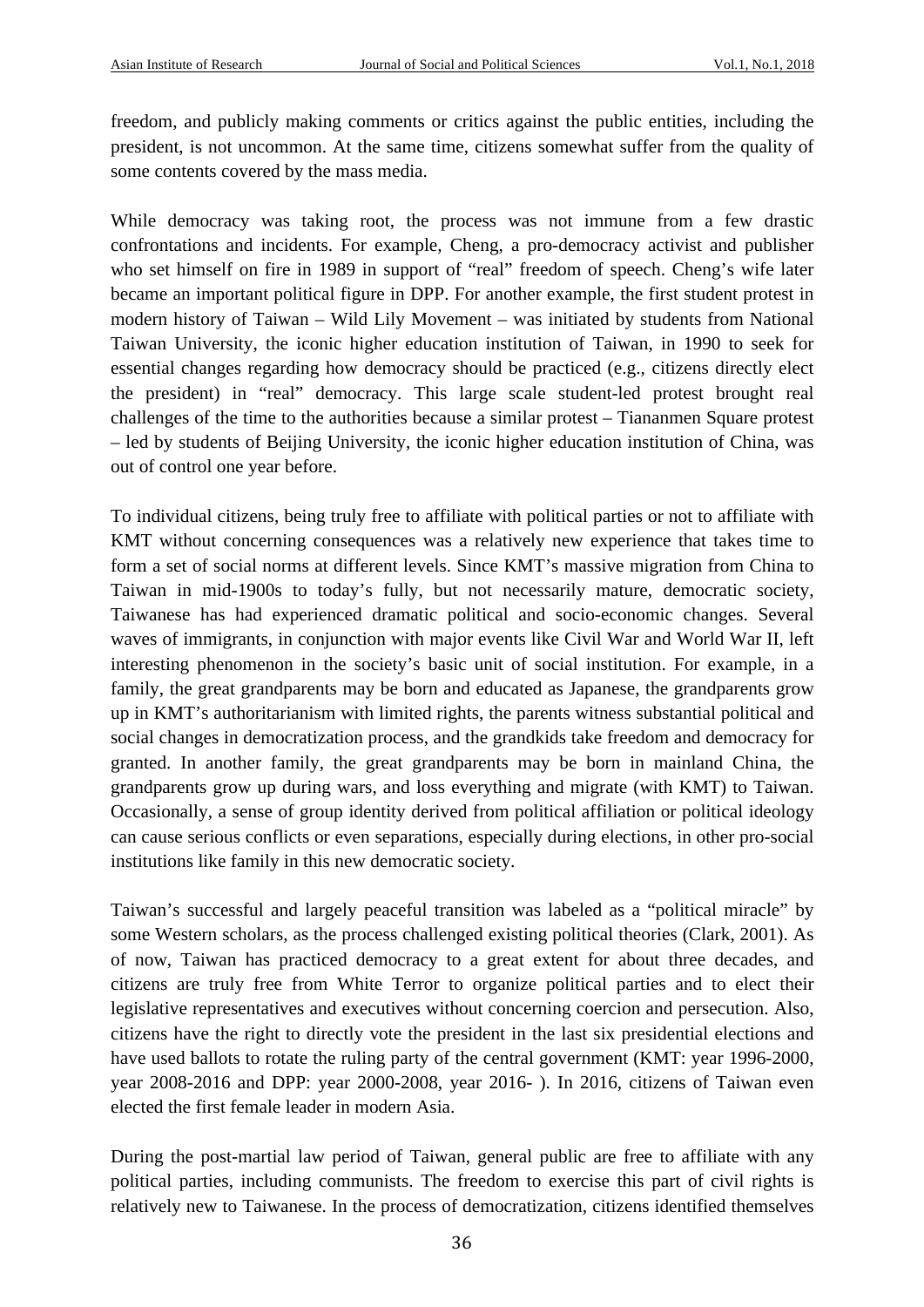freedom, and publicly making comments or critics against the public entities, including the president, is not uncommon. At the same time, citizens somewhat suffer from the quality of some contents covered by the mass media.

While democracy was taking root, the process was not immune from a few drastic confrontations and incidents. For example, Cheng, a pro-democracy activist and publisher who set himself on fire in 1989 in support of "real" freedom of speech. Cheng's wife later became an important political figure in DPP. For another example, the first student protest in modern history of Taiwan – Wild Lily Movement – was initiated by students from National Taiwan University, the iconic higher education institution of Taiwan, in 1990 to seek for essential changes regarding how democracy should be practiced (e.g., citizens directly elect the president) in "real" democracy. This large scale student-led protest brought real challenges of the time to the authorities because a similar protest – Tiananmen Square protest – led by students of Beijing University, the iconic higher education institution of China, was out of control one year before.

To individual citizens, being truly free to affiliate with political parties or not to affiliate with KMT without concerning consequences was a relatively new experience that takes time to form a set of social norms at different levels. Since KMT's massive migration from China to Taiwan in mid-1900s to today's fully, but not necessarily mature, democratic society, Taiwanese has had experienced dramatic political and socio-economic changes. Several waves of immigrants, in conjunction with major events like Civil War and World War II, left interesting phenomenon in the society's basic unit of social institution. For example, in a family, the great grandparents may be born and educated as Japanese, the grandparents grow up in KMT's authoritarianism with limited rights, the parents witness substantial political and social changes in democratization process, and the grandkids take freedom and democracy for granted. In another family, the great grandparents may be born in mainland China, the grandparents grow up during wars, and loss everything and migrate (with KMT) to Taiwan. Occasionally, a sense of group identity derived from political affiliation or political ideology can cause serious conflicts or even separations, especially during elections, in other pro-social institutions like family in this new democratic society.

Taiwan's successful and largely peaceful transition was labeled as a "political miracle" by some Western scholars, as the process challenged existing political theories (Clark, 2001). As of now, Taiwan has practiced democracy to a great extent for about three decades, and citizens are truly free from White Terror to organize political parties and to elect their legislative representatives and executives without concerning coercion and persecution. Also, citizens have the right to directly vote the president in the last six presidential elections and have used ballots to rotate the ruling party of the central government (KMT: year 1996-2000, year 2008-2016 and DPP: year 2000-2008, year 2016- ). In 2016, citizens of Taiwan even elected the first female leader in modern Asia.

During the post-martial law period of Taiwan, general public are free to affiliate with any political parties, including communists. The freedom to exercise this part of civil rights is relatively new to Taiwanese. In the process of democratization, citizens identified themselves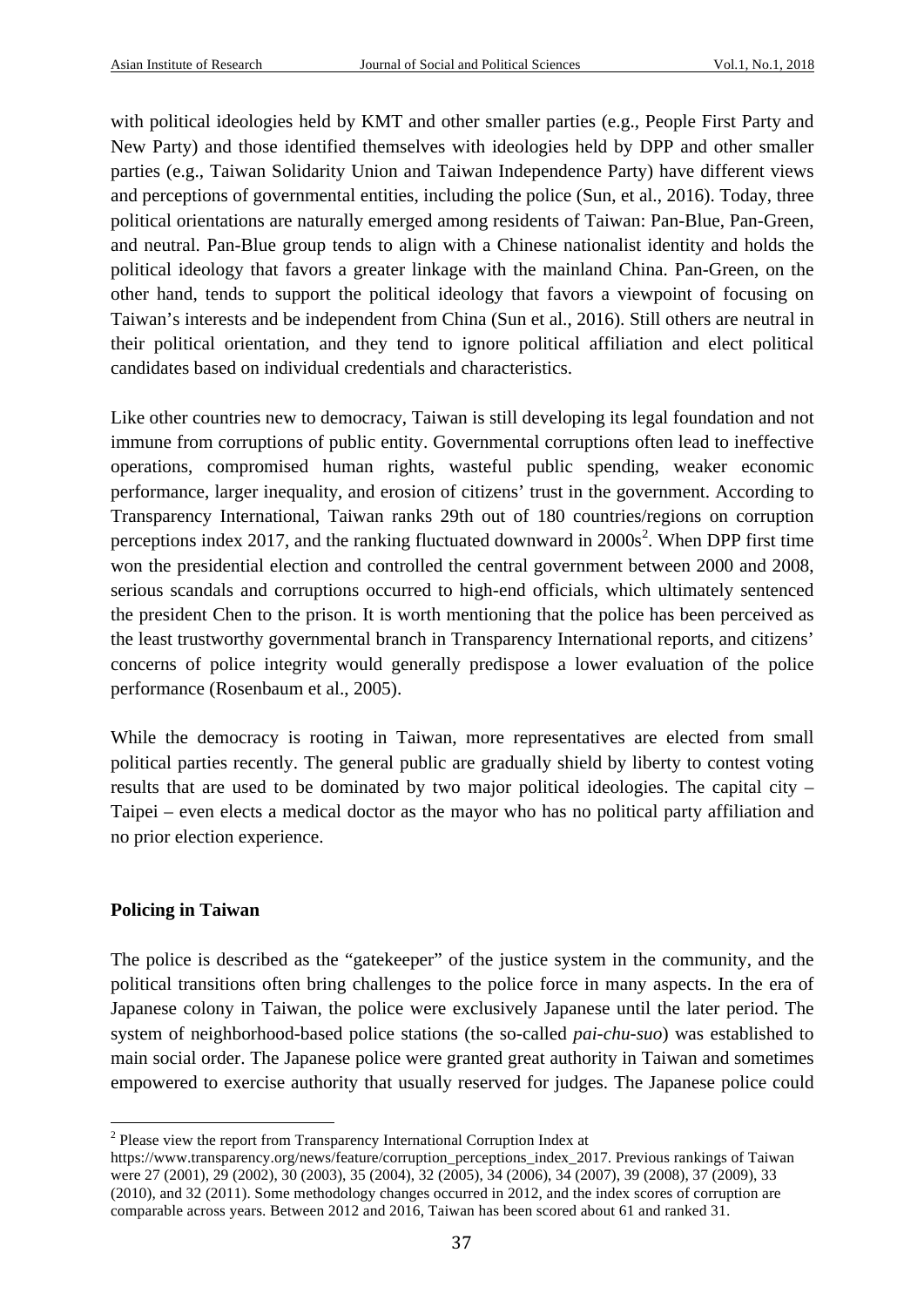with political ideologies held by KMT and other smaller parties (e.g., People First Party and New Party) and those identified themselves with ideologies held by DPP and other smaller parties (e.g., Taiwan Solidarity Union and Taiwan Independence Party) have different views and perceptions of governmental entities, including the police (Sun, et al., 2016). Today, three political orientations are naturally emerged among residents of Taiwan: Pan-Blue, Pan-Green, and neutral. Pan-Blue group tends to align with a Chinese nationalist identity and holds the political ideology that favors a greater linkage with the mainland China. Pan-Green, on the other hand, tends to support the political ideology that favors a viewpoint of focusing on Taiwan's interests and be independent from China (Sun et al., 2016). Still others are neutral in their political orientation, and they tend to ignore political affiliation and elect political candidates based on individual credentials and characteristics.

Like other countries new to democracy, Taiwan is still developing its legal foundation and not immune from corruptions of public entity. Governmental corruptions often lead to ineffective operations, compromised human rights, wasteful public spending, weaker economic performance, larger inequality, and erosion of citizens' trust in the government. According to Transparency International, Taiwan ranks 29th out of 180 countries/regions on corruption perceptions index 2017, and the ranking fluctuated downward in  $2000s^2$ . When DPP first time won the presidential election and controlled the central government between 2000 and 2008, serious scandals and corruptions occurred to high-end officials, which ultimately sentenced the president Chen to the prison. It is worth mentioning that the police has been perceived as the least trustworthy governmental branch in Transparency International reports, and citizens' concerns of police integrity would generally predispose a lower evaluation of the police performance (Rosenbaum et al., 2005).

While the democracy is rooting in Taiwan, more representatives are elected from small political parties recently. The general public are gradually shield by liberty to contest voting results that are used to be dominated by two major political ideologies. The capital city – Taipei – even elects a medical doctor as the mayor who has no political party affiliation and no prior election experience.

# **Policing in Taiwan**

The police is described as the "gatekeeper" of the justice system in the community, and the political transitions often bring challenges to the police force in many aspects. In the era of Japanese colony in Taiwan, the police were exclusively Japanese until the later period. The system of neighborhood-based police stations (the so-called *pai-chu-suo*) was established to main social order. The Japanese police were granted great authority in Taiwan and sometimes empowered to exercise authority that usually reserved for judges. The Japanese police could

<sup>&</sup>lt;sup>2</sup> Please view the report from Transparency International Corruption Index at

https://www.transparency.org/news/feature/corruption\_perceptions\_index\_2017. Previous rankings of Taiwan were 27 (2001), 29 (2002), 30 (2003), 35 (2004), 32 (2005), 34 (2006), 34 (2007), 39 (2008), 37 (2009), 33 (2010), and 32 (2011). Some methodology changes occurred in 2012, and the index scores of corruption are comparable across years. Between 2012 and 2016, Taiwan has been scored about 61 and ranked 31.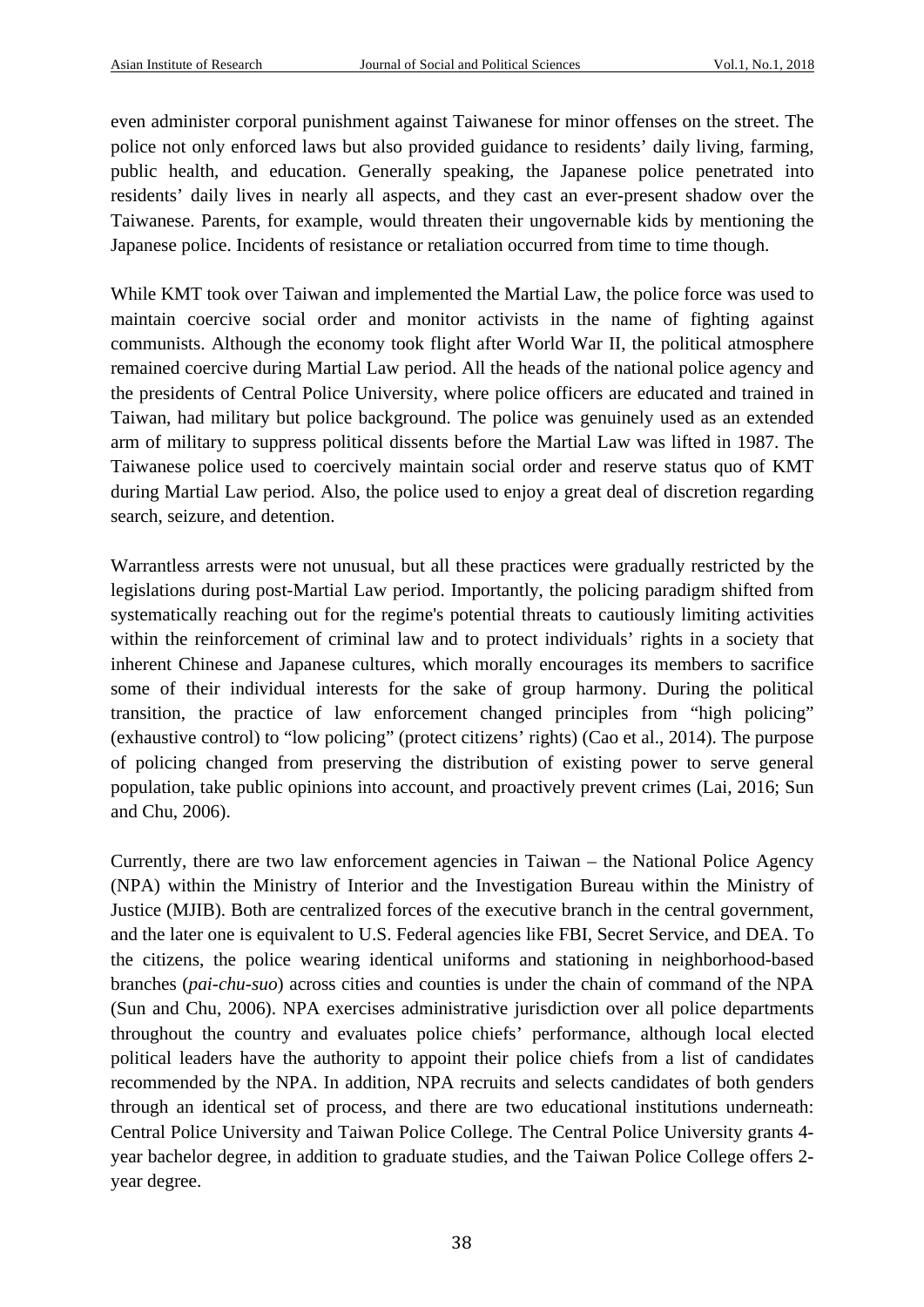even administer corporal punishment against Taiwanese for minor offenses on the street. The police not only enforced laws but also provided guidance to residents' daily living, farming, public health, and education. Generally speaking, the Japanese police penetrated into residents' daily lives in nearly all aspects, and they cast an ever-present shadow over the Taiwanese. Parents, for example, would threaten their ungovernable kids by mentioning the Japanese police. Incidents of resistance or retaliation occurred from time to time though.

While KMT took over Taiwan and implemented the Martial Law, the police force was used to maintain coercive social order and monitor activists in the name of fighting against communists. Although the economy took flight after World War II, the political atmosphere remained coercive during Martial Law period. All the heads of the national police agency and the presidents of Central Police University, where police officers are educated and trained in Taiwan, had military but police background. The police was genuinely used as an extended arm of military to suppress political dissents before the Martial Law was lifted in 1987. The Taiwanese police used to coercively maintain social order and reserve status quo of KMT during Martial Law period. Also, the police used to enjoy a great deal of discretion regarding search, seizure, and detention.

Warrantless arrests were not unusual, but all these practices were gradually restricted by the legislations during post-Martial Law period. Importantly, the policing paradigm shifted from systematically reaching out for the regime's potential threats to cautiously limiting activities within the reinforcement of criminal law and to protect individuals' rights in a society that inherent Chinese and Japanese cultures, which morally encourages its members to sacrifice some of their individual interests for the sake of group harmony. During the political transition, the practice of law enforcement changed principles from "high policing" (exhaustive control) to "low policing" (protect citizens' rights) (Cao et al., 2014). The purpose of policing changed from preserving the distribution of existing power to serve general population, take public opinions into account, and proactively prevent crimes (Lai, 2016; Sun and Chu, 2006).

Currently, there are two law enforcement agencies in Taiwan – the National Police Agency (NPA) within the Ministry of Interior and the Investigation Bureau within the Ministry of Justice (MJIB). Both are centralized forces of the executive branch in the central government, and the later one is equivalent to U.S. Federal agencies like FBI, Secret Service, and DEA. To the citizens, the police wearing identical uniforms and stationing in neighborhood-based branches (*pai-chu-suo*) across cities and counties is under the chain of command of the NPA (Sun and Chu, 2006). NPA exercises administrative jurisdiction over all police departments throughout the country and evaluates police chiefs' performance, although local elected political leaders have the authority to appoint their police chiefs from a list of candidates recommended by the NPA. In addition, NPA recruits and selects candidates of both genders through an identical set of process, and there are two educational institutions underneath: Central Police University and Taiwan Police College. The Central Police University grants 4 year bachelor degree, in addition to graduate studies, and the Taiwan Police College offers 2 year degree.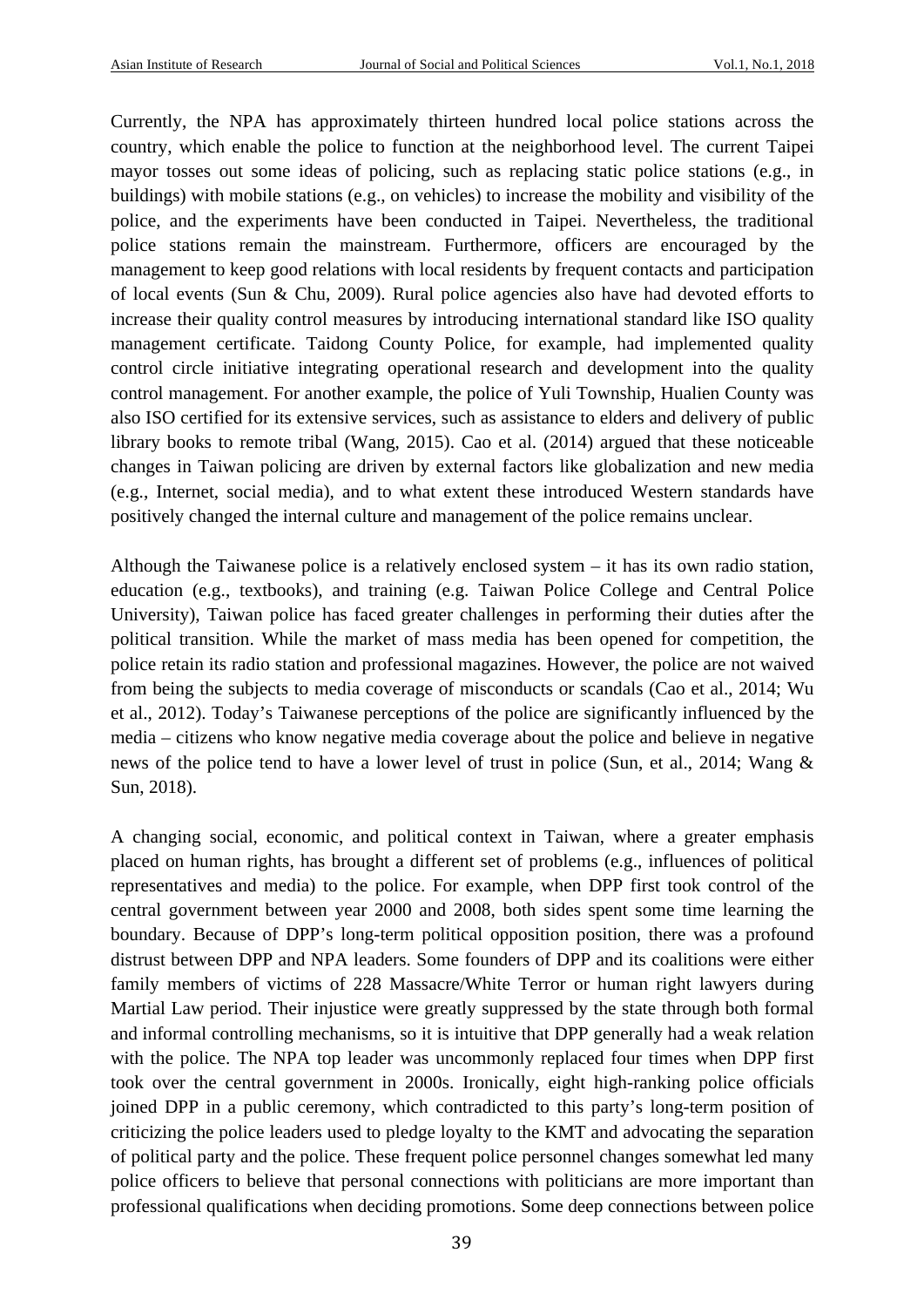Currently, the NPA has approximately thirteen hundred local police stations across the country, which enable the police to function at the neighborhood level. The current Taipei mayor tosses out some ideas of policing, such as replacing static police stations (e.g., in buildings) with mobile stations (e.g., on vehicles) to increase the mobility and visibility of the police, and the experiments have been conducted in Taipei. Nevertheless, the traditional police stations remain the mainstream. Furthermore, officers are encouraged by the management to keep good relations with local residents by frequent contacts and participation of local events (Sun & Chu, 2009). Rural police agencies also have had devoted efforts to increase their quality control measures by introducing international standard like ISO quality management certificate. Taidong County Police, for example, had implemented quality control circle initiative integrating operational research and development into the quality control management. For another example, the police of Yuli Township, Hualien County was also ISO certified for its extensive services, such as assistance to elders and delivery of public library books to remote tribal (Wang, 2015). Cao et al. (2014) argued that these noticeable changes in Taiwan policing are driven by external factors like globalization and new media (e.g., Internet, social media), and to what extent these introduced Western standards have positively changed the internal culture and management of the police remains unclear.

Although the Taiwanese police is a relatively enclosed system – it has its own radio station, education (e.g., textbooks), and training (e.g. Taiwan Police College and Central Police University), Taiwan police has faced greater challenges in performing their duties after the political transition. While the market of mass media has been opened for competition, the police retain its radio station and professional magazines. However, the police are not waived from being the subjects to media coverage of misconducts or scandals (Cao et al., 2014; Wu et al., 2012). Today's Taiwanese perceptions of the police are significantly influenced by the media – citizens who know negative media coverage about the police and believe in negative news of the police tend to have a lower level of trust in police (Sun, et al., 2014; Wang & Sun, 2018).

A changing social, economic, and political context in Taiwan, where a greater emphasis placed on human rights, has brought a different set of problems (e.g., influences of political representatives and media) to the police. For example, when DPP first took control of the central government between year 2000 and 2008, both sides spent some time learning the boundary. Because of DPP's long-term political opposition position, there was a profound distrust between DPP and NPA leaders. Some founders of DPP and its coalitions were either family members of victims of 228 Massacre/White Terror or human right lawyers during Martial Law period. Their injustice were greatly suppressed by the state through both formal and informal controlling mechanisms, so it is intuitive that DPP generally had a weak relation with the police. The NPA top leader was uncommonly replaced four times when DPP first took over the central government in 2000s. Ironically, eight high-ranking police officials joined DPP in a public ceremony, which contradicted to this party's long-term position of criticizing the police leaders used to pledge loyalty to the KMT and advocating the separation of political party and the police. These frequent police personnel changes somewhat led many police officers to believe that personal connections with politicians are more important than professional qualifications when deciding promotions. Some deep connections between police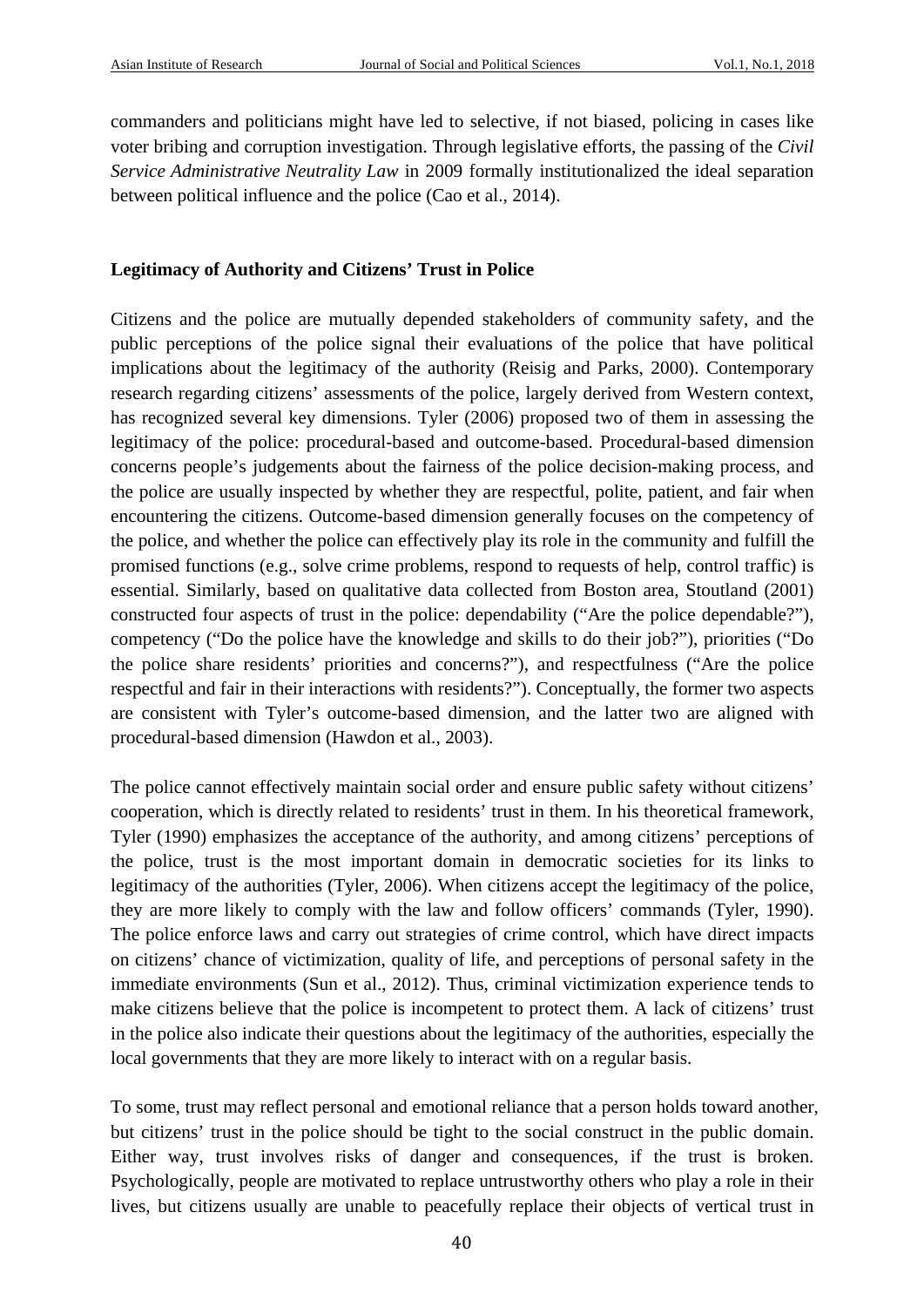commanders and politicians might have led to selective, if not biased, policing in cases like voter bribing and corruption investigation. Through legislative efforts, the passing of the *Civil Service Administrative Neutrality Law* in 2009 formally institutionalized the ideal separation between political influence and the police (Cao et al., 2014).

### **Legitimacy of Authority and Citizens' Trust in Police**

Citizens and the police are mutually depended stakeholders of community safety, and the public perceptions of the police signal their evaluations of the police that have political implications about the legitimacy of the authority (Reisig and Parks, 2000). Contemporary research regarding citizens' assessments of the police, largely derived from Western context, has recognized several key dimensions. Tyler (2006) proposed two of them in assessing the legitimacy of the police: procedural-based and outcome-based. Procedural-based dimension concerns people's judgements about the fairness of the police decision-making process, and the police are usually inspected by whether they are respectful, polite, patient, and fair when encountering the citizens. Outcome-based dimension generally focuses on the competency of the police, and whether the police can effectively play its role in the community and fulfill the promised functions (e.g., solve crime problems, respond to requests of help, control traffic) is essential. Similarly, based on qualitative data collected from Boston area, Stoutland (2001) constructed four aspects of trust in the police: dependability ("Are the police dependable?"), competency ("Do the police have the knowledge and skills to do their job?"), priorities ("Do the police share residents' priorities and concerns?"), and respectfulness ("Are the police respectful and fair in their interactions with residents?"). Conceptually, the former two aspects are consistent with Tyler's outcome-based dimension, and the latter two are aligned with procedural-based dimension (Hawdon et al., 2003).

The police cannot effectively maintain social order and ensure public safety without citizens' cooperation, which is directly related to residents' trust in them. In his theoretical framework, Tyler (1990) emphasizes the acceptance of the authority, and among citizens' perceptions of the police, trust is the most important domain in democratic societies for its links to legitimacy of the authorities (Tyler, 2006). When citizens accept the legitimacy of the police, they are more likely to comply with the law and follow officers' commands (Tyler, 1990). The police enforce laws and carry out strategies of crime control, which have direct impacts on citizens' chance of victimization, quality of life, and perceptions of personal safety in the immediate environments (Sun et al., 2012). Thus, criminal victimization experience tends to make citizens believe that the police is incompetent to protect them. A lack of citizens' trust in the police also indicate their questions about the legitimacy of the authorities, especially the local governments that they are more likely to interact with on a regular basis.

To some, trust may reflect personal and emotional reliance that a person holds toward another, but citizens' trust in the police should be tight to the social construct in the public domain. Either way, trust involves risks of danger and consequences, if the trust is broken. Psychologically, people are motivated to replace untrustworthy others who play a role in their lives, but citizens usually are unable to peacefully replace their objects of vertical trust in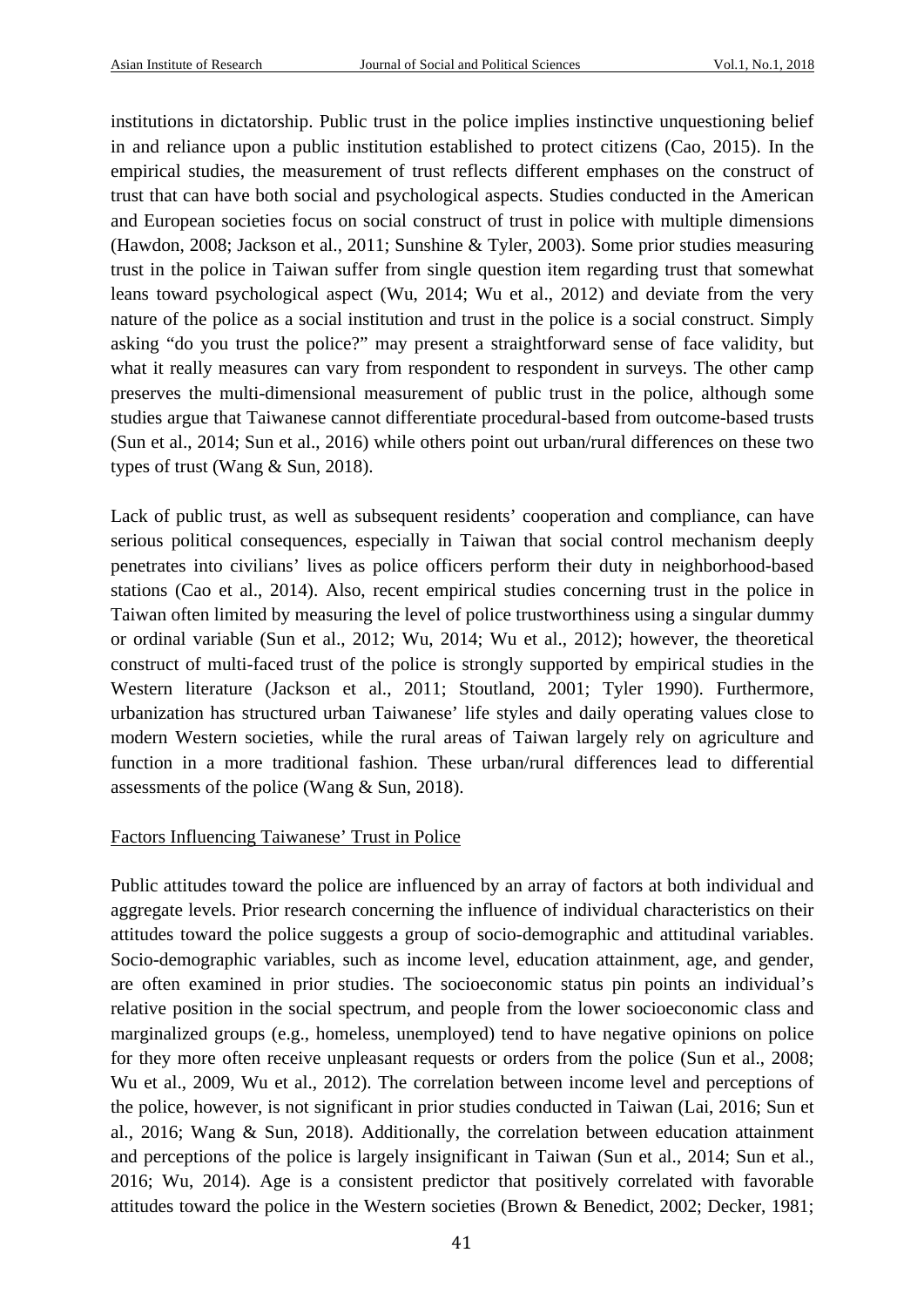institutions in dictatorship. Public trust in the police implies instinctive unquestioning belief in and reliance upon a public institution established to protect citizens (Cao, 2015). In the empirical studies, the measurement of trust reflects different emphases on the construct of trust that can have both social and psychological aspects. Studies conducted in the American and European societies focus on social construct of trust in police with multiple dimensions (Hawdon, 2008; Jackson et al., 2011; Sunshine & Tyler, 2003). Some prior studies measuring trust in the police in Taiwan suffer from single question item regarding trust that somewhat leans toward psychological aspect (Wu, 2014; Wu et al., 2012) and deviate from the very nature of the police as a social institution and trust in the police is a social construct. Simply asking "do you trust the police?" may present a straightforward sense of face validity, but what it really measures can vary from respondent to respondent in surveys. The other camp preserves the multi-dimensional measurement of public trust in the police, although some studies argue that Taiwanese cannot differentiate procedural-based from outcome-based trusts (Sun et al., 2014; Sun et al., 2016) while others point out urban/rural differences on these two types of trust (Wang & Sun, 2018).

Lack of public trust, as well as subsequent residents' cooperation and compliance, can have serious political consequences, especially in Taiwan that social control mechanism deeply penetrates into civilians' lives as police officers perform their duty in neighborhood-based stations (Cao et al., 2014). Also, recent empirical studies concerning trust in the police in Taiwan often limited by measuring the level of police trustworthiness using a singular dummy or ordinal variable (Sun et al., 2012; Wu, 2014; Wu et al., 2012); however, the theoretical construct of multi-faced trust of the police is strongly supported by empirical studies in the Western literature (Jackson et al., 2011; Stoutland, 2001; Tyler 1990). Furthermore, urbanization has structured urban Taiwanese' life styles and daily operating values close to modern Western societies, while the rural areas of Taiwan largely rely on agriculture and function in a more traditional fashion. These urban/rural differences lead to differential assessments of the police (Wang & Sun, 2018).

### Factors Influencing Taiwanese' Trust in Police

Public attitudes toward the police are influenced by an array of factors at both individual and aggregate levels. Prior research concerning the influence of individual characteristics on their attitudes toward the police suggests a group of socio-demographic and attitudinal variables. Socio-demographic variables, such as income level, education attainment, age, and gender, are often examined in prior studies. The socioeconomic status pin points an individual's relative position in the social spectrum, and people from the lower socioeconomic class and marginalized groups (e.g., homeless, unemployed) tend to have negative opinions on police for they more often receive unpleasant requests or orders from the police (Sun et al., 2008; Wu et al., 2009, Wu et al., 2012). The correlation between income level and perceptions of the police, however, is not significant in prior studies conducted in Taiwan (Lai, 2016; Sun et al., 2016; Wang & Sun, 2018). Additionally, the correlation between education attainment and perceptions of the police is largely insignificant in Taiwan (Sun et al., 2014; Sun et al., 2016; Wu, 2014). Age is a consistent predictor that positively correlated with favorable attitudes toward the police in the Western societies (Brown & Benedict, 2002; Decker, 1981;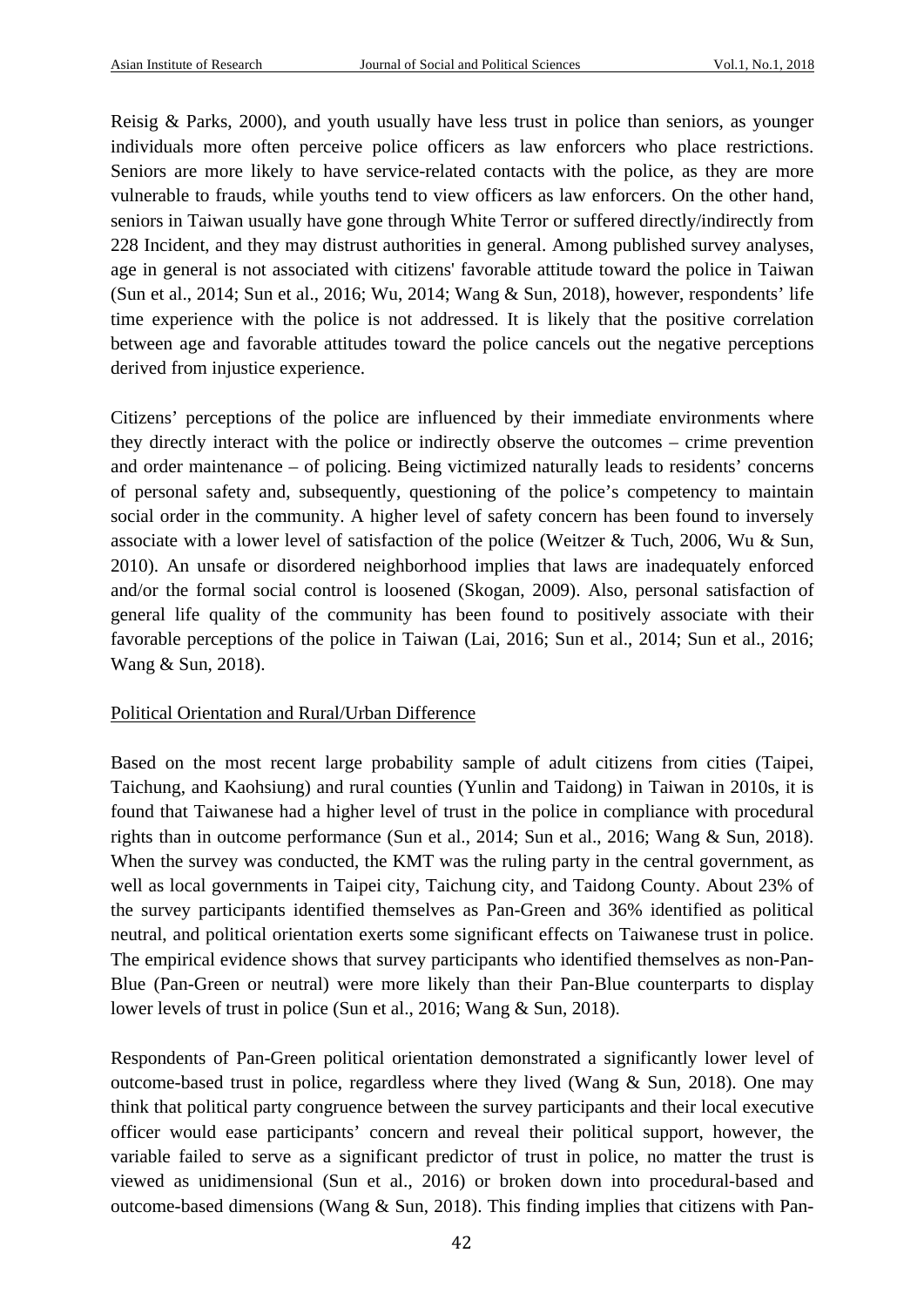Reisig & Parks, 2000), and youth usually have less trust in police than seniors, as younger individuals more often perceive police officers as law enforcers who place restrictions. Seniors are more likely to have service-related contacts with the police, as they are more vulnerable to frauds, while youths tend to view officers as law enforcers. On the other hand, seniors in Taiwan usually have gone through White Terror or suffered directly/indirectly from 228 Incident, and they may distrust authorities in general. Among published survey analyses, age in general is not associated with citizens' favorable attitude toward the police in Taiwan (Sun et al., 2014; Sun et al., 2016; Wu, 2014; Wang & Sun, 2018), however, respondents' life time experience with the police is not addressed. It is likely that the positive correlation between age and favorable attitudes toward the police cancels out the negative perceptions derived from injustice experience.

Citizens' perceptions of the police are influenced by their immediate environments where they directly interact with the police or indirectly observe the outcomes – crime prevention and order maintenance – of policing. Being victimized naturally leads to residents' concerns of personal safety and, subsequently, questioning of the police's competency to maintain social order in the community. A higher level of safety concern has been found to inversely associate with a lower level of satisfaction of the police (Weitzer & Tuch, 2006, Wu & Sun, 2010). An unsafe or disordered neighborhood implies that laws are inadequately enforced and/or the formal social control is loosened (Skogan, 2009). Also, personal satisfaction of general life quality of the community has been found to positively associate with their favorable perceptions of the police in Taiwan (Lai, 2016; Sun et al., 2014; Sun et al., 2016; Wang & Sun, 2018).

# Political Orientation and Rural/Urban Difference

Based on the most recent large probability sample of adult citizens from cities (Taipei, Taichung, and Kaohsiung) and rural counties (Yunlin and Taidong) in Taiwan in 2010s, it is found that Taiwanese had a higher level of trust in the police in compliance with procedural rights than in outcome performance (Sun et al., 2014; Sun et al., 2016; Wang & Sun, 2018). When the survey was conducted, the KMT was the ruling party in the central government, as well as local governments in Taipei city, Taichung city, and Taidong County. About 23% of the survey participants identified themselves as Pan-Green and 36% identified as political neutral, and political orientation exerts some significant effects on Taiwanese trust in police. The empirical evidence shows that survey participants who identified themselves as non-Pan-Blue (Pan-Green or neutral) were more likely than their Pan-Blue counterparts to display lower levels of trust in police (Sun et al., 2016; Wang & Sun, 2018).

Respondents of Pan-Green political orientation demonstrated a significantly lower level of outcome-based trust in police, regardless where they lived (Wang  $\&$  Sun, 2018). One may think that political party congruence between the survey participants and their local executive officer would ease participants' concern and reveal their political support, however, the variable failed to serve as a significant predictor of trust in police, no matter the trust is viewed as unidimensional (Sun et al., 2016) or broken down into procedural-based and outcome-based dimensions (Wang & Sun, 2018). This finding implies that citizens with Pan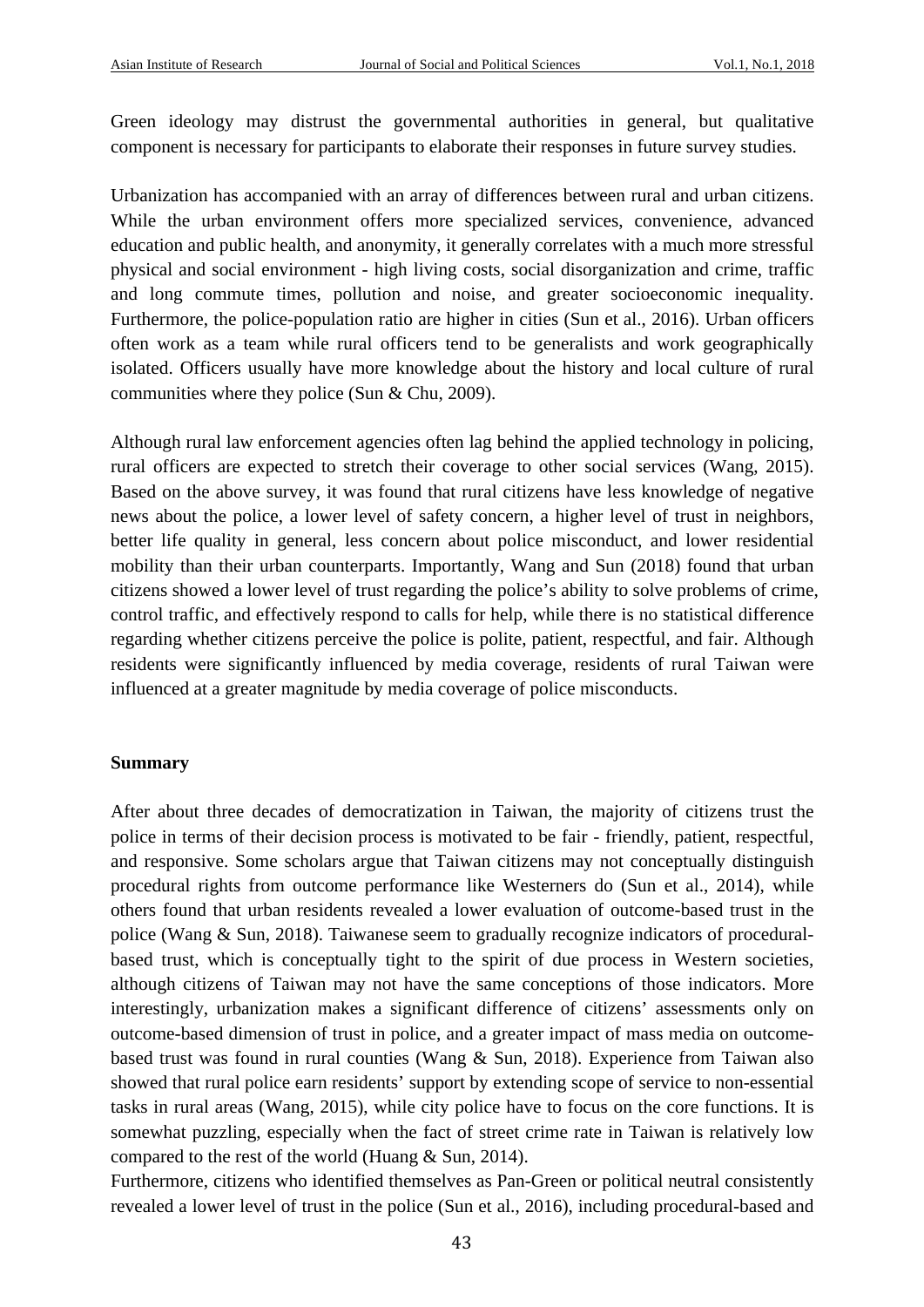Green ideology may distrust the governmental authorities in general, but qualitative component is necessary for participants to elaborate their responses in future survey studies.

Urbanization has accompanied with an array of differences between rural and urban citizens. While the urban environment offers more specialized services, convenience, advanced education and public health, and anonymity, it generally correlates with a much more stressful physical and social environment - high living costs, social disorganization and crime, traffic and long commute times, pollution and noise, and greater socioeconomic inequality. Furthermore, the police-population ratio are higher in cities (Sun et al., 2016). Urban officers often work as a team while rural officers tend to be generalists and work geographically isolated. Officers usually have more knowledge about the history and local culture of rural communities where they police (Sun & Chu, 2009).

Although rural law enforcement agencies often lag behind the applied technology in policing, rural officers are expected to stretch their coverage to other social services (Wang, 2015). Based on the above survey, it was found that rural citizens have less knowledge of negative news about the police, a lower level of safety concern, a higher level of trust in neighbors, better life quality in general, less concern about police misconduct, and lower residential mobility than their urban counterparts. Importantly, Wang and Sun (2018) found that urban citizens showed a lower level of trust regarding the police's ability to solve problems of crime, control traffic, and effectively respond to calls for help, while there is no statistical difference regarding whether citizens perceive the police is polite, patient, respectful, and fair. Although residents were significantly influenced by media coverage, residents of rural Taiwan were influenced at a greater magnitude by media coverage of police misconducts.

#### **Summary**

After about three decades of democratization in Taiwan, the majority of citizens trust the police in terms of their decision process is motivated to be fair - friendly, patient, respectful, and responsive. Some scholars argue that Taiwan citizens may not conceptually distinguish procedural rights from outcome performance like Westerners do (Sun et al., 2014), while others found that urban residents revealed a lower evaluation of outcome-based trust in the police (Wang & Sun, 2018). Taiwanese seem to gradually recognize indicators of proceduralbased trust, which is conceptually tight to the spirit of due process in Western societies, although citizens of Taiwan may not have the same conceptions of those indicators. More interestingly, urbanization makes a significant difference of citizens' assessments only on outcome-based dimension of trust in police, and a greater impact of mass media on outcomebased trust was found in rural counties (Wang & Sun, 2018). Experience from Taiwan also showed that rural police earn residents' support by extending scope of service to non-essential tasks in rural areas (Wang, 2015), while city police have to focus on the core functions. It is somewhat puzzling, especially when the fact of street crime rate in Taiwan is relatively low compared to the rest of the world (Huang & Sun, 2014).

Furthermore, citizens who identified themselves as Pan-Green or political neutral consistently revealed a lower level of trust in the police (Sun et al., 2016), including procedural-based and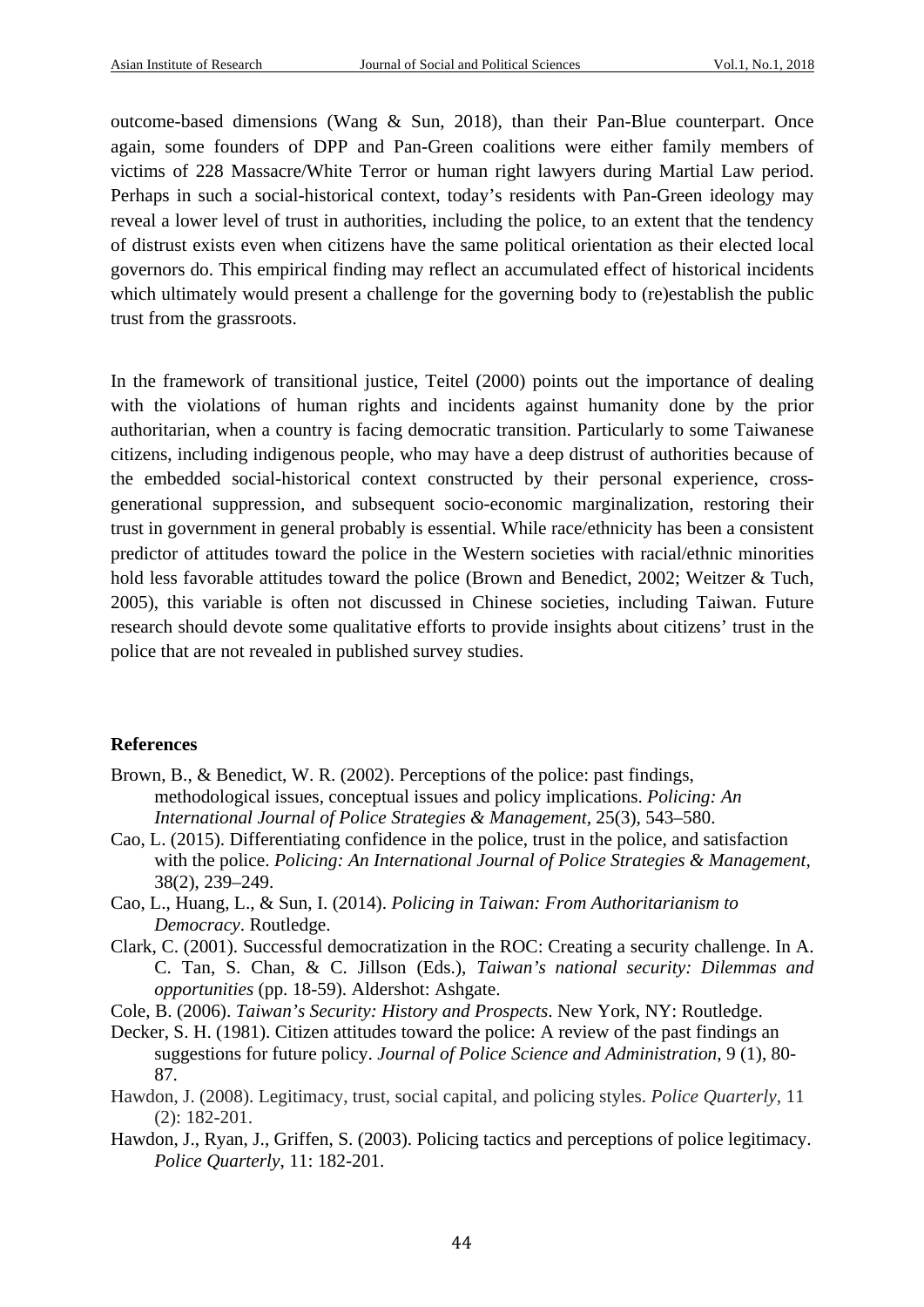outcome-based dimensions (Wang & Sun, 2018), than their Pan-Blue counterpart. Once again, some founders of DPP and Pan-Green coalitions were either family members of victims of 228 Massacre/White Terror or human right lawyers during Martial Law period. Perhaps in such a social-historical context, today's residents with Pan-Green ideology may reveal a lower level of trust in authorities, including the police, to an extent that the tendency of distrust exists even when citizens have the same political orientation as their elected local governors do. This empirical finding may reflect an accumulated effect of historical incidents which ultimately would present a challenge for the governing body to (re)establish the public trust from the grassroots.

In the framework of transitional justice, Teitel (2000) points out the importance of dealing with the violations of human rights and incidents against humanity done by the prior authoritarian, when a country is facing democratic transition. Particularly to some Taiwanese citizens, including indigenous people, who may have a deep distrust of authorities because of the embedded social-historical context constructed by their personal experience, crossgenerational suppression, and subsequent socio-economic marginalization, restoring their trust in government in general probably is essential. While race/ethnicity has been a consistent predictor of attitudes toward the police in the Western societies with racial/ethnic minorities hold less favorable attitudes toward the police (Brown and Benedict, 2002; Weitzer & Tuch, 2005), this variable is often not discussed in Chinese societies, including Taiwan. Future research should devote some qualitative efforts to provide insights about citizens' trust in the police that are not revealed in published survey studies.

### **References**

- Brown, B., & Benedict, W. R. (2002). Perceptions of the police: past findings, methodological issues, conceptual issues and policy implications. *Policing: An International Journal of Police Strategies & Management,* 25(3), 543–580.
- Cao, L. (2015). Differentiating confidence in the police, trust in the police, and satisfaction with the police. *Policing: An International Journal of Police Strategies & Management,* 38(2), 239–249.
- Cao, L., Huang, L., & Sun, I. (2014). *Policing in Taiwan: From Authoritarianism to Democracy*. Routledge.
- Clark, C. (2001). Successful democratization in the ROC: Creating a security challenge. In A. C. Tan, S. Chan, & C. Jillson (Eds.), *Taiwan's national security: Dilemmas and opportunities* (pp. 18-59). Aldershot: Ashgate.
- Cole, B. (2006). *Taiwan's Security: History and Prospects*. New York, NY: Routledge.
- Decker, S. H. (1981). Citizen attitudes toward the police: A review of the past findings an suggestions for future policy. *Journal of Police Science and Administration*, 9 (1), 80- 87.
- Hawdon, J. (2008). Legitimacy, trust, social capital, and policing styles. *Police Quarterly*, 11 (2): 182-201.
- Hawdon, J., Ryan, J., Griffen, S. (2003). Policing tactics and perceptions of police legitimacy. *Police Quarterly*, 11: 182-201.